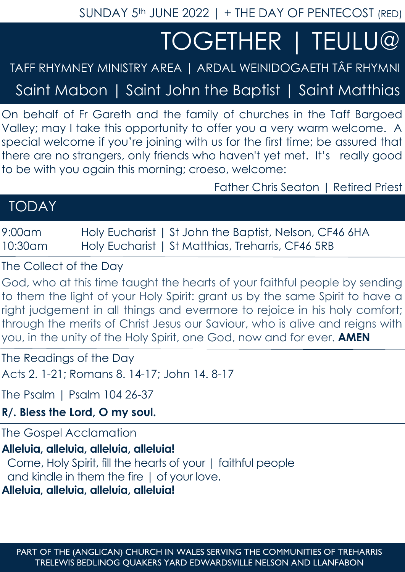SUNDAY 5<sup>th</sup> JUNE 2022 | + THE DAY OF PENTECOST (RED)

# TOGETHER | TEULU@

## TAFF RHYMNEY MINISTRY AREA | ARDAL WEINIDOGAETH TÂF RHYMNI

Saint Mabon | Saint John the Baptist | Saint Matthias

On behalf of Fr Gareth and the family of churches in the Taff Bargoed Valley; may I take this opportunity to offer you a very warm welcome. A special welcome if you're joining with us for the first time; be assured that there are no strangers, only friends who haven't yet met. It's really good to be with you again this morning; croeso, welcome:

Father Chris Seaton | Retired Priest

| <b>TODAY</b> |  |  |
|--------------|--|--|
|              |  |  |

9:00am Holy Eucharist | St John the Baptist, Nelson, CF46 6HA 10:30am Holy Eucharist | St Matthias, Treharris, CF46 5RB

The Collect of the Day

God, who at this time taught the hearts of your faithful people by sending to them the light of your Holy Spirit: grant us by the same Spirit to have a right judgement in all things and evermore to rejoice in his holy comfort; through the merits of Christ Jesus our Saviour, who is alive and reigns with you, in the unity of the Holy Spirit, one God, now and for ever. **AMEN**

The Readings of the Day

Acts 2. 1-21; Romans 8. 14-17; John 14. 8-17

The Psalm | Psalm 104 26-37

**R/. Bless the Lord, O my soul.**

The Gospel Acclamation

#### **Alleluia, alleluia, alleluia, alleluia!**

 Come, Holy Spirit, fill the hearts of your | faithful people and kindle in them the fire | of your love.

**Alleluia, alleluia, alleluia, alleluia!**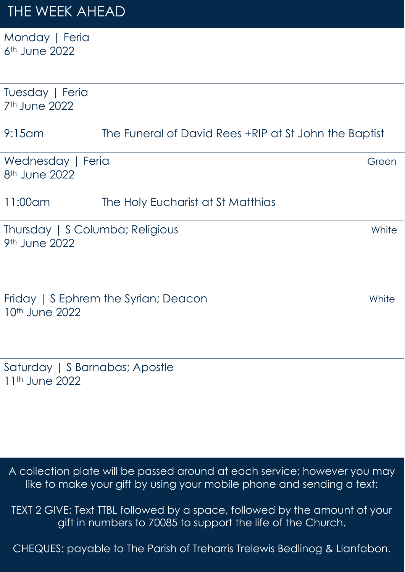## THE WEEK AHEAD

Monday | Feria 6th June 2022

| Tuesday   Feria<br>7 <sup>th</sup> June 2022                 |                                                       |       |  |
|--------------------------------------------------------------|-------------------------------------------------------|-------|--|
| $9:15$ am                                                    | The Funeral of David Rees +RIP at St John the Baptist |       |  |
| Wednesday   Feria<br>8 <sup>th</sup> June 2022               |                                                       | Green |  |
| $11:00$ am                                                   | The Holy Eucharist at St Matthias                     |       |  |
| Thursday   S Columba; Religious<br>9 <sup>th</sup> June 2022 |                                                       | White |  |
| 10th June 2022                                               | Friday   S Ephrem the Syrian; Deacon                  | White |  |
| Saturday   S Barnabas; Apostle<br>11 <sup>th</sup> June 2022 |                                                       |       |  |

A collection plate will be passed around at each service; however you may like to make your gift by using your mobile phone and sending a text:

TEXT 2 GIVE: Text TTBL followed by a space, followed by the amount of your gift in numbers to 70085 to support the life of the Church.

CHEQUES: payable to The Parish of Treharris Trelewis Bedlinog & Llanfabon.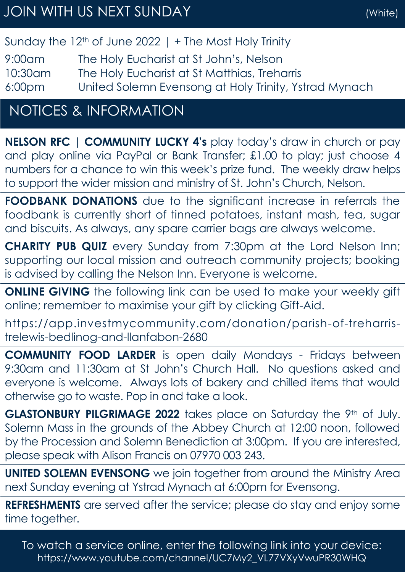### Sunday the  $12<sup>th</sup>$  of June 2022 | + The Most Holy Trinity

9:00am The Holy Eucharist at St John's, Nelson 10:30am The Holy Eucharist at St Matthias, Treharris 6:00pm United Solemn Evensong at Holy Trinity, Ystrad Mynach

## NOTICES & INFORMATION

**NELSON RFC | COMMUNITY LUCKY 4's** play today's draw in church or pay and play online via PayPal or Bank Transfer; £1.00 to play; just choose 4 numbers for a chance to win this week's prize fund. The weekly draw helps to support the wider mission and ministry of St. John's Church, Nelson.

**FOODBANK DONATIONS** due to the significant increase in referrals the foodbank is currently short of tinned potatoes, instant mash, tea, sugar and biscuits. As always, any spare carrier bags are always welcome.

**CHARITY PUB QUIZ** every Sunday from 7:30pm at the Lord Nelson Inn; supporting our local mission and outreach community projects; booking is advised by calling the Nelson Inn. Everyone is welcome.

**ONLINE GIVING** the following link can be used to make your weekly gift online; remember to maximise your gift by clicking Gift-Aid.

https://app.investmycommunity.com/donation/parish-of-treharristrelewis-bedlinog-and-llanfabon-2680

**COMMUNITY FOOD LARDER** is open daily Mondays - Fridays between 9:30am and 11:30am at St John's Church Hall. No questions asked and everyone is welcome. Always lots of bakery and chilled items that would otherwise go to waste. Pop in and take a look.

GLASTONBURY PILGRIMAGE 2022 takes place on Saturday the 9th of July. Solemn Mass in the grounds of the Abbey Church at 12:00 noon, followed by the Procession and Solemn Benediction at 3:00pm. If you are interested, please speak with Alison Francis on 07970 003 243.

**UNITED SOLEMN EVENSONG** we join together from around the Ministry Area next Sunday evening at Ystrad Mynach at 6:00pm for Evensong.

**REFRESHMENTS** are served after the service; please do stay and enjoy some time together.

To watch a service online, enter the following link into your device: https://www.youtube.com/channel/UC7My2\_VL77VXyVwuPR30WHQ